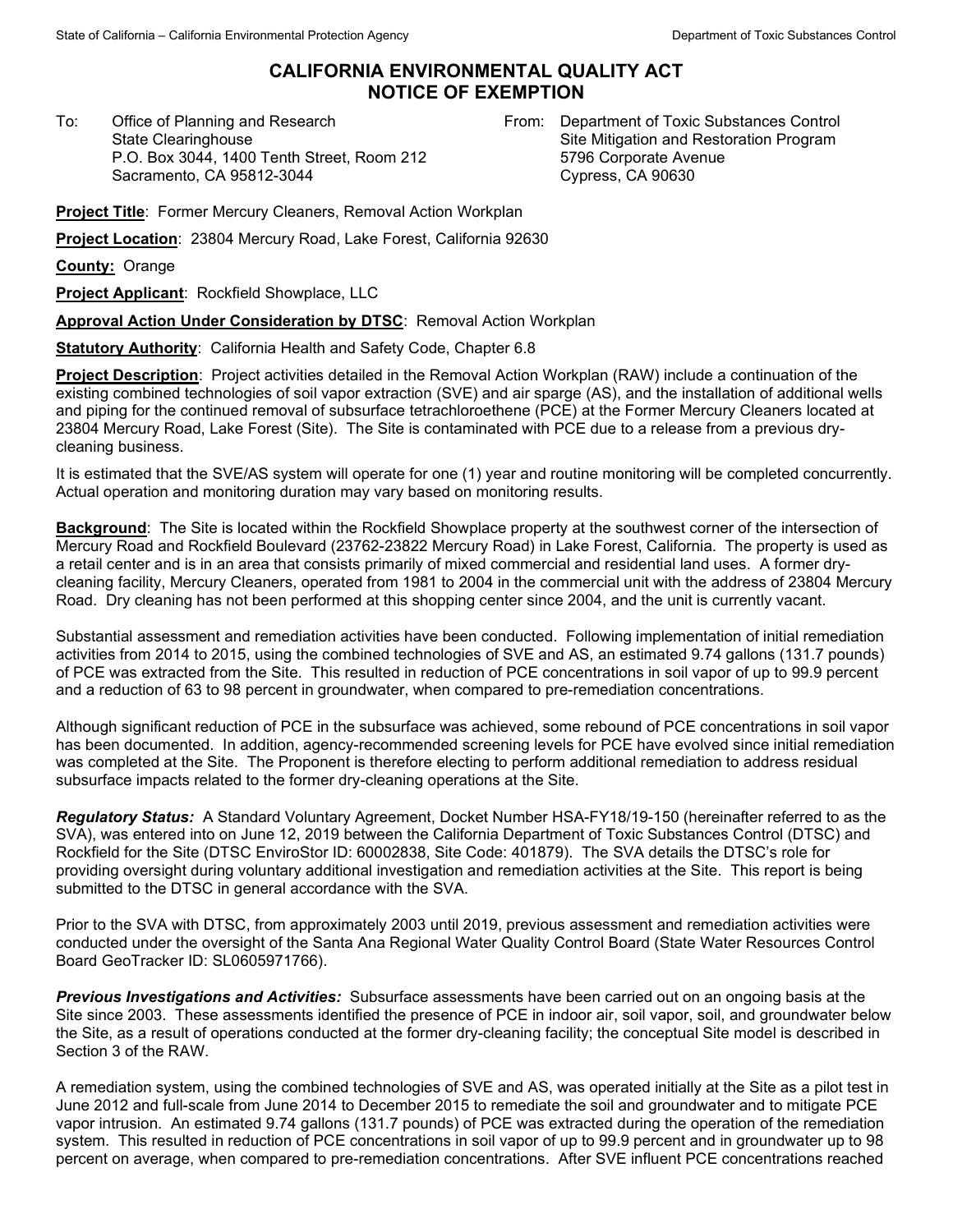## **CALIFORNIA ENVIRONMENTAL QUALITY ACT NOTICE OF EXEMPTION**

To: Office of Planning and Research State Clearinghouse P.O. Box 3044, 1400 Tenth Street, Room 212 Sacramento, CA 95812-3044

From: Department of Toxic Substances Control Site Mitigation and Restoration Program 5796 Corporate Avenue Cypress, CA 90630

**Project Title**: Former Mercury Cleaners, Removal Action Workplan

**Project Location**: 23804 Mercury Road, Lake Forest, California 92630

**County:** Orange

**Project Applicant**: Rockfield Showplace, LLC

**Approval Action Under Consideration by DTSC**: Removal Action Workplan

**Statutory Authority**: California Health and Safety Code, Chapter 6.8

**Project Description**: Project activities detailed in the Removal Action Workplan (RAW) include a continuation of the existing combined technologies of soil vapor extraction (SVE) and air sparge (AS), and the installation of additional wells and piping for the continued removal of subsurface tetrachloroethene (PCE) at the Former Mercury Cleaners located at 23804 Mercury Road, Lake Forest (Site). The Site is contaminated with PCE due to a release from a previous drycleaning business.

It is estimated that the SVE/AS system will operate for one (1) year and routine monitoring will be completed concurrently. Actual operation and monitoring duration may vary based on monitoring results.

**Background**: The Site is located within the Rockfield Showplace property at the southwest corner of the intersection of Mercury Road and Rockfield Boulevard (23762-23822 Mercury Road) in Lake Forest, California. The property is used as a retail center and is in an area that consists primarily of mixed commercial and residential land uses. A former drycleaning facility, Mercury Cleaners, operated from 1981 to 2004 in the commercial unit with the address of 23804 Mercury Road. Dry cleaning has not been performed at this shopping center since 2004, and the unit is currently vacant.

Substantial assessment and remediation activities have been conducted. Following implementation of initial remediation activities from 2014 to 2015, using the combined technologies of SVE and AS, an estimated 9.74 gallons (131.7 pounds) of PCE was extracted from the Site. This resulted in reduction of PCE concentrations in soil vapor of up to 99.9 percent and a reduction of 63 to 98 percent in groundwater, when compared to pre-remediation concentrations.

Although significant reduction of PCE in the subsurface was achieved, some rebound of PCE concentrations in soil vapor has been documented. In addition, agency-recommended screening levels for PCE have evolved since initial remediation was completed at the Site. The Proponent is therefore electing to perform additional remediation to address residual subsurface impacts related to the former dry-cleaning operations at the Site.

*Regulatory Status:* A Standard Voluntary Agreement, Docket Number HSA-FY18/19-150 (hereinafter referred to as the SVA), was entered into on June 12, 2019 between the California Department of Toxic Substances Control (DTSC) and Rockfield for the Site (DTSC EnviroStor ID: 60002838, Site Code: 401879). The SVA details the DTSC's role for providing oversight during voluntary additional investigation and remediation activities at the Site. This report is being submitted to the DTSC in general accordance with the SVA.

Prior to the SVA with DTSC, from approximately 2003 until 2019, previous assessment and remediation activities were conducted under the oversight of the Santa Ana Regional Water Quality Control Board (State Water Resources Control Board GeoTracker ID: SL0605971766).

*Previous Investigations and Activities:* Subsurface assessments have been carried out on an ongoing basis at the Site since 2003. These assessments identified the presence of PCE in indoor air, soil vapor, soil, and groundwater below the Site, as a result of operations conducted at the former dry-cleaning facility; the conceptual Site model is described in Section 3 of the RAW.

A remediation system, using the combined technologies of SVE and AS, was operated initially at the Site as a pilot test in June 2012 and full-scale from June 2014 to December 2015 to remediate the soil and groundwater and to mitigate PCE vapor intrusion. An estimated 9.74 gallons (131.7 pounds) of PCE was extracted during the operation of the remediation system. This resulted in reduction of PCE concentrations in soil vapor of up to 99.9 percent and in groundwater up to 98 percent on average, when compared to pre-remediation concentrations. After SVE influent PCE concentrations reached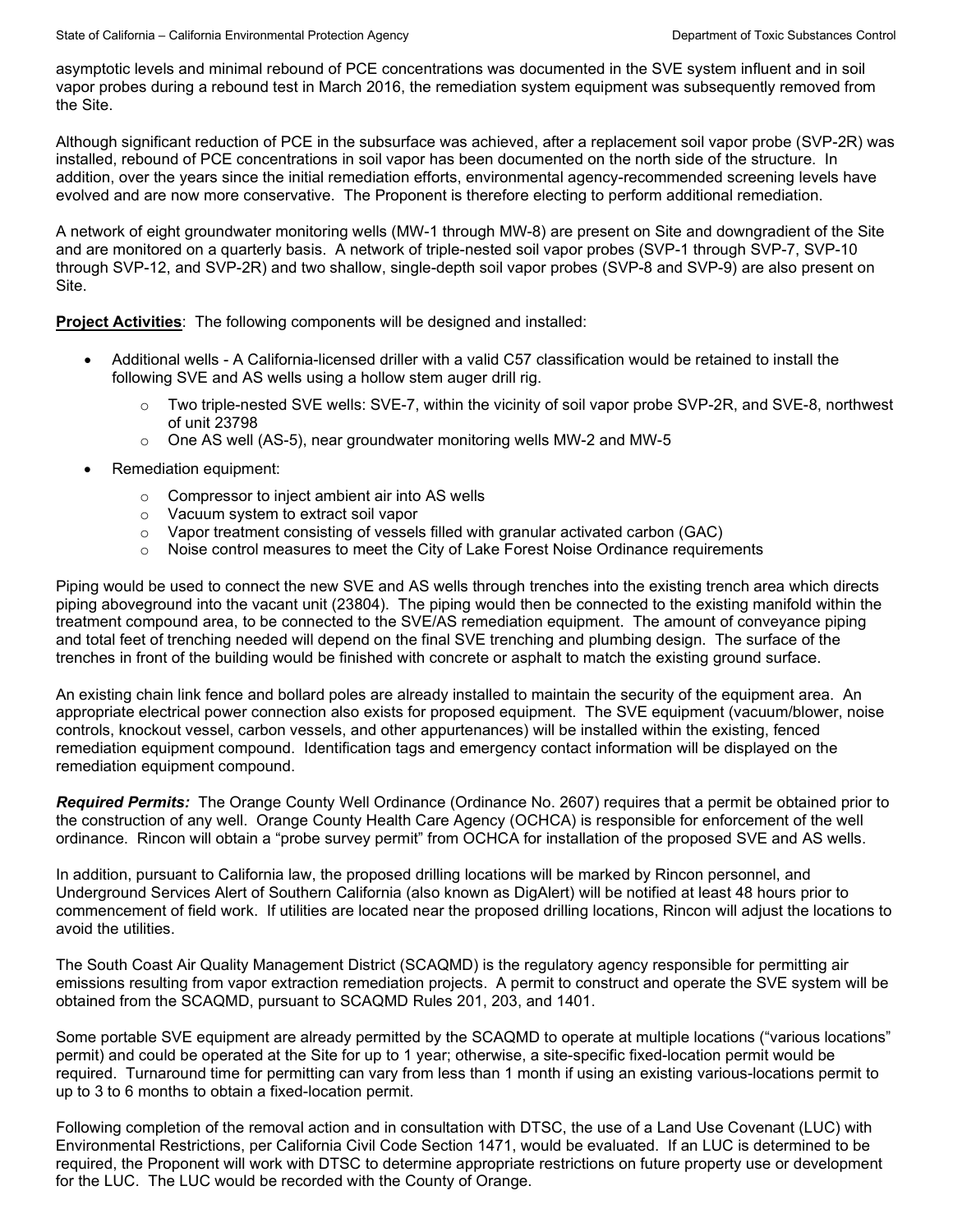asymptotic levels and minimal rebound of PCE concentrations was documented in the SVE system influent and in soil vapor probes during a rebound test in March 2016, the remediation system equipment was subsequently removed from the Site.

Although significant reduction of PCE in the subsurface was achieved, after a replacement soil vapor probe (SVP-2R) was installed, rebound of PCE concentrations in soil vapor has been documented on the north side of the structure. In addition, over the years since the initial remediation efforts, environmental agency-recommended screening levels have evolved and are now more conservative. The Proponent is therefore electing to perform additional remediation.

A network of eight groundwater monitoring wells (MW-1 through MW-8) are present on Site and downgradient of the Site and are monitored on a quarterly basis. A network of triple-nested soil vapor probes (SVP-1 through SVP-7, SVP-10 through SVP-12, and SVP-2R) and two shallow, single-depth soil vapor probes (SVP-8 and SVP-9) are also present on Site.

**Project Activities**: The following components will be designed and installed:

- Additional wells A California-licensed driller with a valid C57 classification would be retained to install the following SVE and AS wells using a hollow stem auger drill rig.
	- o Two triple-nested SVE wells: SVE-7, within the vicinity of soil vapor probe SVP-2R, and SVE-8, northwest of unit 23798
	- o One AS well (AS-5), near groundwater monitoring wells MW-2 and MW-5
- Remediation equipment:
	- o Compressor to inject ambient air into AS wells
	- o Vacuum system to extract soil vapor
	- $\circ$  Vapor treatment consisting of vessels filled with granular activated carbon (GAC)
	- $\circ$  Noise control measures to meet the City of Lake Forest Noise Ordinance requirements

Piping would be used to connect the new SVE and AS wells through trenches into the existing trench area which directs piping aboveground into the vacant unit (23804). The piping would then be connected to the existing manifold within the treatment compound area, to be connected to the SVE/AS remediation equipment. The amount of conveyance piping and total feet of trenching needed will depend on the final SVE trenching and plumbing design. The surface of the trenches in front of the building would be finished with concrete or asphalt to match the existing ground surface.

An existing chain link fence and bollard poles are already installed to maintain the security of the equipment area. An appropriate electrical power connection also exists for proposed equipment. The SVE equipment (vacuum/blower, noise controls, knockout vessel, carbon vessels, and other appurtenances) will be installed within the existing, fenced remediation equipment compound. Identification tags and emergency contact information will be displayed on the remediation equipment compound.

*Required Permits:* The Orange County Well Ordinance (Ordinance No. 2607) requires that a permit be obtained prior to the construction of any well. Orange County Health Care Agency (OCHCA) is responsible for enforcement of the well ordinance. Rincon will obtain a "probe survey permit" from OCHCA for installation of the proposed SVE and AS wells.

In addition, pursuant to California law, the proposed drilling locations will be marked by Rincon personnel, and Underground Services Alert of Southern California (also known as DigAlert) will be notified at least 48 hours prior to commencement of field work. If utilities are located near the proposed drilling locations, Rincon will adjust the locations to avoid the utilities.

The South Coast Air Quality Management District (SCAQMD) is the regulatory agency responsible for permitting air emissions resulting from vapor extraction remediation projects. A permit to construct and operate the SVE system will be obtained from the SCAQMD, pursuant to SCAQMD Rules 201, 203, and 1401.

Some portable SVE equipment are already permitted by the SCAQMD to operate at multiple locations ("various locations" permit) and could be operated at the Site for up to 1 year; otherwise, a site-specific fixed-location permit would be required. Turnaround time for permitting can vary from less than 1 month if using an existing various-locations permit to up to 3 to 6 months to obtain a fixed-location permit.

Following completion of the removal action and in consultation with DTSC, the use of a Land Use Covenant (LUC) with Environmental Restrictions, per California Civil Code Section 1471, would be evaluated. If an LUC is determined to be required, the Proponent will work with DTSC to determine appropriate restrictions on future property use or development for the LUC. The LUC would be recorded with the County of Orange.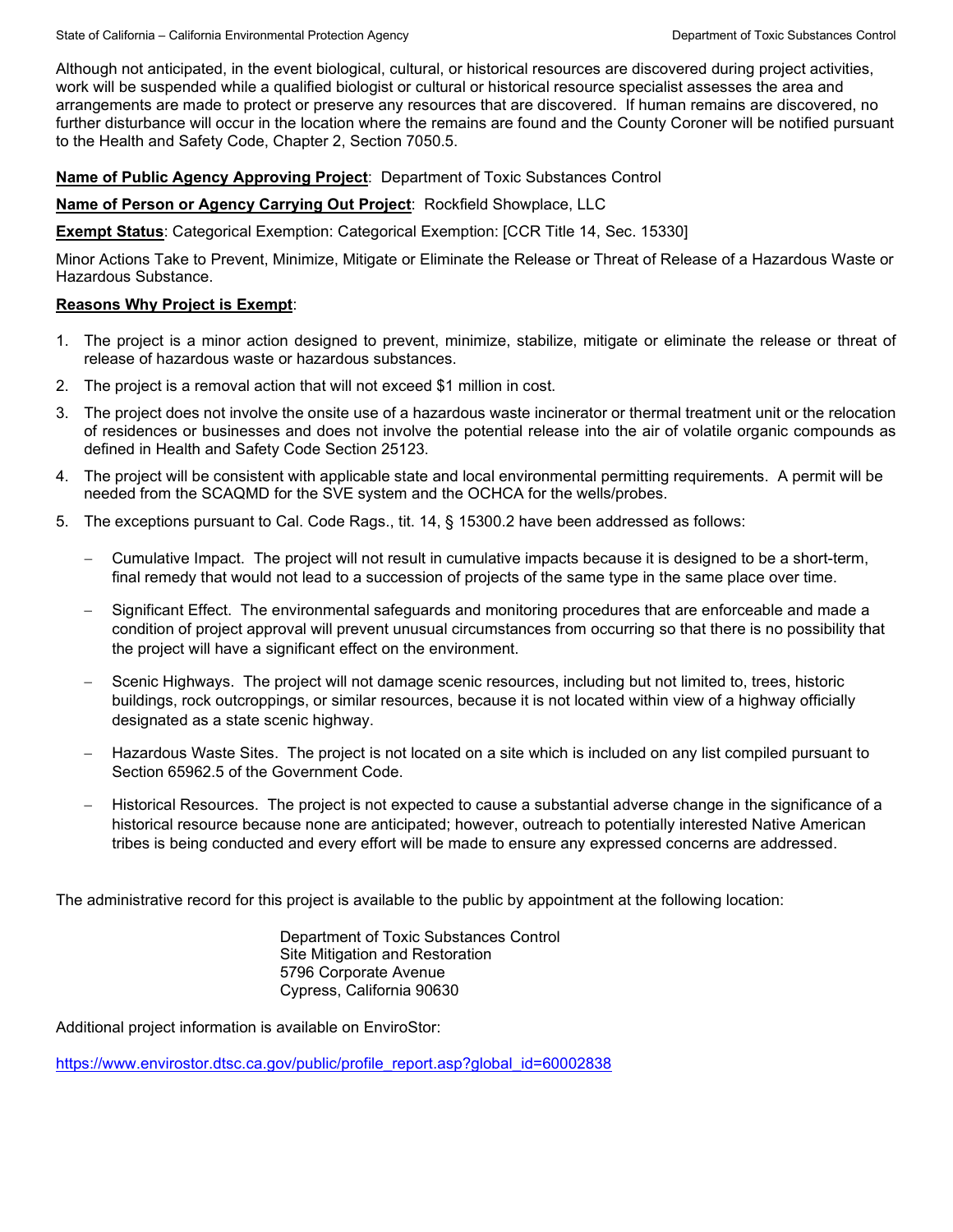State of California – California Environmental Protection Agency **Department of Toxic Substances Control** Department of Toxic Substances Control

Although not anticipated, in the event biological, cultural, or historical resources are discovered during project activities, work will be suspended while a qualified biologist or cultural or historical resource specialist assesses the area and arrangements are made to protect or preserve any resources that are discovered. If human remains are discovered, no further disturbance will occur in the location where the remains are found and the County Coroner will be notified pursuant to the Health and Safety Code, Chapter 2, Section 7050.5.

**Name of Public Agency Approving Project**: Department of Toxic Substances Control

## **Name of Person or Agency Carrying Out Project**: Rockfield Showplace, LLC

**Exempt Status**: Categorical Exemption: Categorical Exemption: [CCR Title 14, Sec. 15330]

Minor Actions Take to Prevent, Minimize, Mitigate or Eliminate the Release or Threat of Release of a Hazardous Waste or Hazardous Substance.

## **Reasons Why Project is Exempt**:

- 1. The project is a minor action designed to prevent, minimize, stabilize, mitigate or eliminate the release or threat of release of hazardous waste or hazardous substances.
- 2. The project is a removal action that will not exceed \$1 million in cost.
- 3. The project does not involve the onsite use of a hazardous waste incinerator or thermal treatment unit or the relocation of residences or businesses and does not involve the potential release into the air of volatile organic compounds as defined in Health and Safety Code Section 25123.
- 4. The project will be consistent with applicable state and local environmental permitting requirements. A permit will be needed from the SCAQMD for the SVE system and the OCHCA for the wells/probes.
- 5. The exceptions pursuant to Cal. Code Rags., tit. 14, § 15300.2 have been addressed as follows:
	- − Cumulative Impact. The project will not result in cumulative impacts because it is designed to be a short-term, final remedy that would not lead to a succession of projects of the same type in the same place over time.
	- − Significant Effect. The environmental safeguards and monitoring procedures that are enforceable and made a condition of project approval will prevent unusual circumstances from occurring so that there is no possibility that the project will have a significant effect on the environment.
	- Scenic Highways. The project will not damage scenic resources, including but not limited to, trees, historic buildings, rock outcroppings, or similar resources, because it is not located within view of a highway officially designated as a state scenic highway.
	- − Hazardous Waste Sites. The project is not located on a site which is included on any list compiled pursuant to Section 65962.5 of the Government Code.
	- − Historical Resources. The project is not expected to cause a substantial adverse change in the significance of a historical resource because none are anticipated; however, outreach to potentially interested Native American tribes is being conducted and every effort will be made to ensure any expressed concerns are addressed.

The administrative record for this project is available to the public by appointment at the following location:

Department of Toxic Substances Control Site Mitigation and Restoration 5796 Corporate Avenue Cypress, California 90630

Additional project information is available on EnviroStor:

[https://www.envirostor.dtsc.ca.gov/public/profile\\_report.asp?global\\_id=60002838](https://www.envirostor.dtsc.ca.gov/public/profile_report.asp?global_id=60002838)